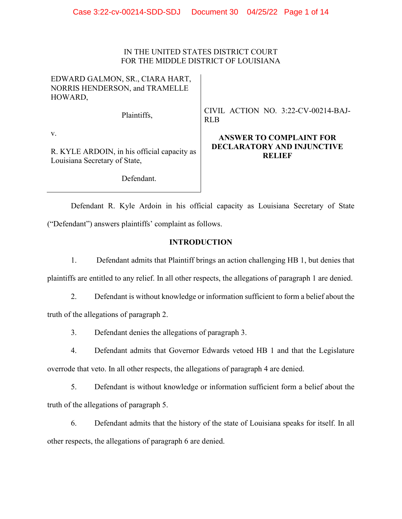## IN THE UNITED STATES DISTRICT COURT FOR THE MIDDLE DISTRICT OF LOUISIANA

| EDWARD GALMON, SR., CIARA HART, |
|---------------------------------|
| NORRIS HENDERSON, and TRAMELLE  |
| HOWARD,                         |

Plaintiffs,

CIVIL ACTION NO. 3:22-CV-00214-BAJ-RLB

**ANSWER TO COMPLAINT FOR DECLARATORY AND INJUNCTIVE RELIEF** 

v.

R. KYLE ARDOIN, in his official capacity as Louisiana Secretary of State,

Defendant.

Defendant R. Kyle Ardoin in his official capacity as Louisiana Secretary of State ("Defendant") answers plaintiffs' complaint as follows.

# **INTRODUCTION**

1. Defendant admits that Plaintiff brings an action challenging HB 1, but denies that plaintiffs are entitled to any relief. In all other respects, the allegations of paragraph 1 are denied.

2. Defendant is without knowledge or information sufficient to form a belief about the truth of the allegations of paragraph 2.

3. Defendant denies the allegations of paragraph 3.

4. Defendant admits that Governor Edwards vetoed HB 1 and that the Legislature overrode that veto. In all other respects, the allegations of paragraph 4 are denied.

5. Defendant is without knowledge or information sufficient form a belief about the truth of the allegations of paragraph 5.

6. Defendant admits that the history of the state of Louisiana speaks for itself. In all other respects, the allegations of paragraph 6 are denied.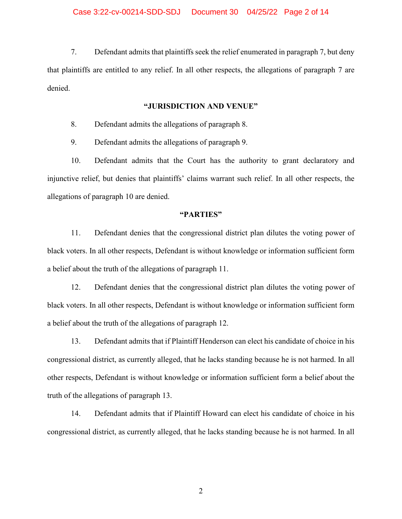7. Defendant admits that plaintiffs seek the relief enumerated in paragraph 7, but deny that plaintiffs are entitled to any relief. In all other respects, the allegations of paragraph 7 are denied.

## **"JURISDICTION AND VENUE"**

8. Defendant admits the allegations of paragraph 8.

9. Defendant admits the allegations of paragraph 9.

10. Defendant admits that the Court has the authority to grant declaratory and injunctive relief, but denies that plaintiffs' claims warrant such relief. In all other respects, the allegations of paragraph 10 are denied.

#### **"PARTIES"**

11. Defendant denies that the congressional district plan dilutes the voting power of black voters. In all other respects, Defendant is without knowledge or information sufficient form a belief about the truth of the allegations of paragraph 11.

12. Defendant denies that the congressional district plan dilutes the voting power of black voters. In all other respects, Defendant is without knowledge or information sufficient form a belief about the truth of the allegations of paragraph 12.

13. Defendant admits that if Plaintiff Henderson can elect his candidate of choice in his congressional district, as currently alleged, that he lacks standing because he is not harmed. In all other respects, Defendant is without knowledge or information sufficient form a belief about the truth of the allegations of paragraph 13.

14. Defendant admits that if Plaintiff Howard can elect his candidate of choice in his congressional district, as currently alleged, that he lacks standing because he is not harmed. In all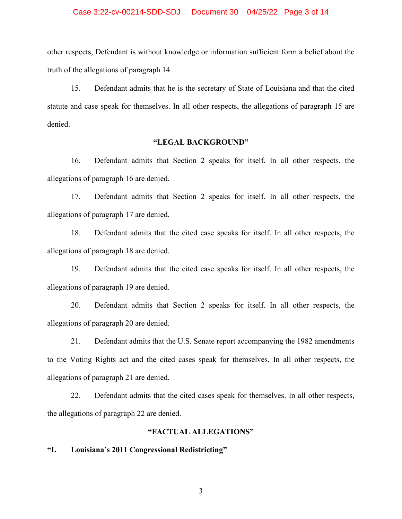#### Case 3:22-cv-00214-SDD-SDJ Document 30 04/25/22 Page 3 of 14

other respects, Defendant is without knowledge or information sufficient form a belief about the truth of the allegations of paragraph 14.

15. Defendant admits that he is the secretary of State of Louisiana and that the cited statute and case speak for themselves. In all other respects, the allegations of paragraph 15 are denied.

## **"LEGAL BACKGROUND"**

16. Defendant admits that Section 2 speaks for itself. In all other respects, the allegations of paragraph 16 are denied.

17. Defendant admits that Section 2 speaks for itself. In all other respects, the allegations of paragraph 17 are denied.

18. Defendant admits that the cited case speaks for itself. In all other respects, the allegations of paragraph 18 are denied.

19. Defendant admits that the cited case speaks for itself. In all other respects, the allegations of paragraph 19 are denied.

20. Defendant admits that Section 2 speaks for itself. In all other respects, the allegations of paragraph 20 are denied.

21. Defendant admits that the U.S. Senate report accompanying the 1982 amendments to the Voting Rights act and the cited cases speak for themselves. In all other respects, the allegations of paragraph 21 are denied.

22. Defendant admits that the cited cases speak for themselves. In all other respects, the allegations of paragraph 22 are denied.

## **"FACTUAL ALLEGATIONS"**

## **"I. Louisiana's 2011 Congressional Redistricting"**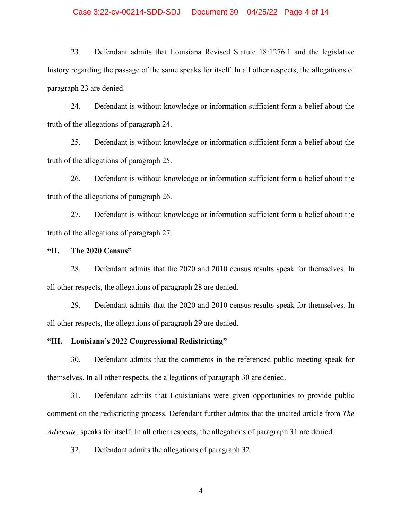### Case 3:22-cv-00214-SDD-SDJ Document 30 04/25/22 Page 4 of 14

23. Defendant admits that Louisiana Revised Statute 18:1276.1 and the legislative history regarding the passage of the same speaks for itself. In all other respects, the allegations of paragraph 23 are denied.

24. Defendant is without knowledge or information sufficient form a belief about the truth of the allegations of paragraph 24.

25. Defendant is without knowledge or information sufficient form a belief about the truth of the allegations of paragraph 25.

26. Defendant is without knowledge or information sufficient form a belief about the truth of the allegations of paragraph 26.

27. Defendant is without knowledge or information sufficient form a belief about the truth of the allegations of paragraph 27.

#### **"II. The 2020 Census"**

28. Defendant admits that the 2020 and 2010 census results speak for themselves. In all other respects, the allegations of paragraph 28 are denied.

29. Defendant admits that the 2020 and 2010 census results speak for themselves. In all other respects, the allegations of paragraph 29 are denied.

## **"III. Louisiana's 2022 Congressional Redistricting"**

30. Defendant admits that the comments in the referenced public meeting speak for themselves. In all other respects, the allegations of paragraph 30 are denied.

31. Defendant admits that Louisianians were given opportunities to provide public comment on the redistricting process. Defendant further admits that the uncited article from *The Advocate,* speaks for itself. In all other respects, the allegations of paragraph 31 are denied.

32. Defendant admits the allegations of paragraph 32.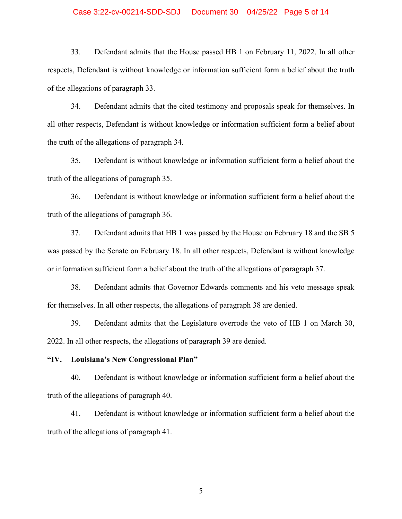#### Case 3:22-cv-00214-SDD-SDJ Document 30 04/25/22 Page 5 of 14

33. Defendant admits that the House passed HB 1 on February 11, 2022. In all other respects, Defendant is without knowledge or information sufficient form a belief about the truth of the allegations of paragraph 33.

34. Defendant admits that the cited testimony and proposals speak for themselves. In all other respects, Defendant is without knowledge or information sufficient form a belief about the truth of the allegations of paragraph 34.

35. Defendant is without knowledge or information sufficient form a belief about the truth of the allegations of paragraph 35.

36. Defendant is without knowledge or information sufficient form a belief about the truth of the allegations of paragraph 36.

37. Defendant admits that HB 1 was passed by the House on February 18 and the SB 5 was passed by the Senate on February 18. In all other respects, Defendant is without knowledge or information sufficient form a belief about the truth of the allegations of paragraph 37.

38. Defendant admits that Governor Edwards comments and his veto message speak for themselves. In all other respects, the allegations of paragraph 38 are denied.

39. Defendant admits that the Legislature overrode the veto of HB 1 on March 30, 2022. In all other respects, the allegations of paragraph 39 are denied.

## **"IV. Louisiana's New Congressional Plan"**

40. Defendant is without knowledge or information sufficient form a belief about the truth of the allegations of paragraph 40.

41. Defendant is without knowledge or information sufficient form a belief about the truth of the allegations of paragraph 41.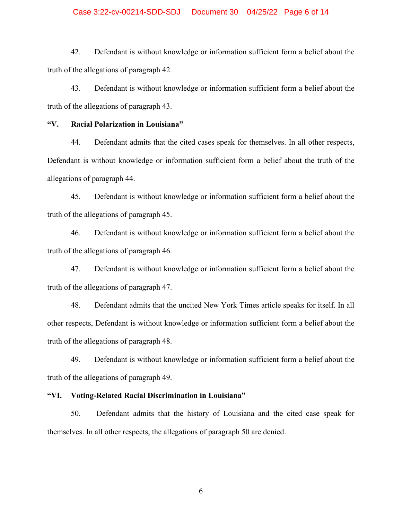#### Case 3:22-cv-00214-SDD-SDJ Document 30 04/25/22 Page 6 of 14

42. Defendant is without knowledge or information sufficient form a belief about the truth of the allegations of paragraph 42.

43. Defendant is without knowledge or information sufficient form a belief about the truth of the allegations of paragraph 43.

## **"V. Racial Polarization in Louisiana"**

44. Defendant admits that the cited cases speak for themselves. In all other respects, Defendant is without knowledge or information sufficient form a belief about the truth of the allegations of paragraph 44.

45. Defendant is without knowledge or information sufficient form a belief about the truth of the allegations of paragraph 45.

46. Defendant is without knowledge or information sufficient form a belief about the truth of the allegations of paragraph 46.

47. Defendant is without knowledge or information sufficient form a belief about the truth of the allegations of paragraph 47.

48. Defendant admits that the uncited New York Times article speaks for itself. In all other respects, Defendant is without knowledge or information sufficient form a belief about the truth of the allegations of paragraph 48.

49. Defendant is without knowledge or information sufficient form a belief about the truth of the allegations of paragraph 49.

## **"VI. Voting-Related Racial Discrimination in Louisiana"**

50. Defendant admits that the history of Louisiana and the cited case speak for themselves. In all other respects, the allegations of paragraph 50 are denied.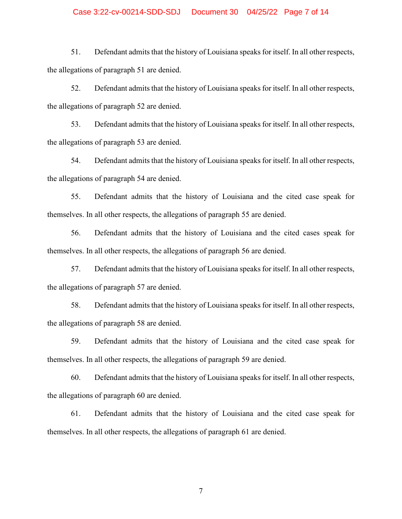#### Case 3:22-cv-00214-SDD-SDJ Document 30 04/25/22 Page 7 of 14

51. Defendant admits that the history of Louisiana speaks for itself. In all other respects, the allegations of paragraph 51 are denied.

52. Defendant admits that the history of Louisiana speaks for itself. In all other respects, the allegations of paragraph 52 are denied.

53. Defendant admits that the history of Louisiana speaks for itself. In all other respects, the allegations of paragraph 53 are denied.

54. Defendant admits that the history of Louisiana speaks for itself. In all other respects, the allegations of paragraph 54 are denied.

55. Defendant admits that the history of Louisiana and the cited case speak for themselves. In all other respects, the allegations of paragraph 55 are denied.

56. Defendant admits that the history of Louisiana and the cited cases speak for themselves. In all other respects, the allegations of paragraph 56 are denied.

57. Defendant admits that the history of Louisiana speaks for itself. In all other respects, the allegations of paragraph 57 are denied.

58. Defendant admits that the history of Louisiana speaks for itself. In all other respects, the allegations of paragraph 58 are denied.

59. Defendant admits that the history of Louisiana and the cited case speak for themselves. In all other respects, the allegations of paragraph 59 are denied.

60. Defendant admits that the history of Louisiana speaks for itself. In all other respects, the allegations of paragraph 60 are denied.

61. Defendant admits that the history of Louisiana and the cited case speak for themselves. In all other respects, the allegations of paragraph 61 are denied.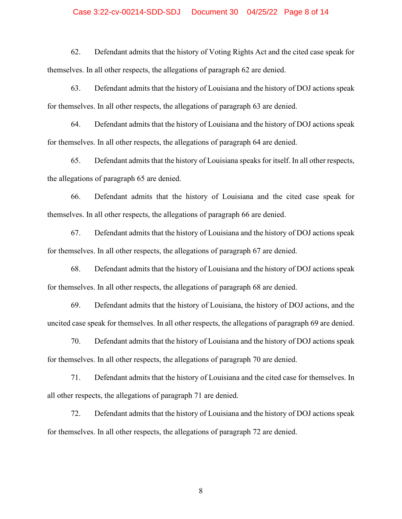#### Case 3:22-cv-00214-SDD-SDJ Document 30 04/25/22 Page 8 of 14

62. Defendant admits that the history of Voting Rights Act and the cited case speak for themselves. In all other respects, the allegations of paragraph 62 are denied.

63. Defendant admits that the history of Louisiana and the history of DOJ actions speak for themselves. In all other respects, the allegations of paragraph 63 are denied.

64. Defendant admits that the history of Louisiana and the history of DOJ actions speak for themselves. In all other respects, the allegations of paragraph 64 are denied.

65. Defendant admits that the history of Louisiana speaks for itself. In all other respects, the allegations of paragraph 65 are denied.

66. Defendant admits that the history of Louisiana and the cited case speak for themselves. In all other respects, the allegations of paragraph 66 are denied.

67. Defendant admits that the history of Louisiana and the history of DOJ actions speak for themselves. In all other respects, the allegations of paragraph 67 are denied.

68. Defendant admits that the history of Louisiana and the history of DOJ actions speak for themselves. In all other respects, the allegations of paragraph 68 are denied.

69. Defendant admits that the history of Louisiana, the history of DOJ actions, and the uncited case speak for themselves. In all other respects, the allegations of paragraph 69 are denied.

70. Defendant admits that the history of Louisiana and the history of DOJ actions speak for themselves. In all other respects, the allegations of paragraph 70 are denied.

71. Defendant admits that the history of Louisiana and the cited case for themselves. In all other respects, the allegations of paragraph 71 are denied.

72. Defendant admits that the history of Louisiana and the history of DOJ actions speak for themselves. In all other respects, the allegations of paragraph 72 are denied.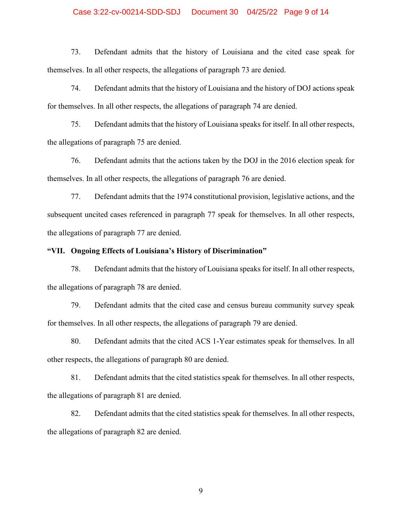#### Case 3:22-cv-00214-SDD-SDJ Document 30 04/25/22 Page 9 of 14

73. Defendant admits that the history of Louisiana and the cited case speak for themselves. In all other respects, the allegations of paragraph 73 are denied.

74. Defendant admits that the history of Louisiana and the history of DOJ actions speak for themselves. In all other respects, the allegations of paragraph 74 are denied.

75. Defendant admits that the history of Louisiana speaks for itself. In all other respects, the allegations of paragraph 75 are denied.

76. Defendant admits that the actions taken by the DOJ in the 2016 election speak for themselves. In all other respects, the allegations of paragraph 76 are denied.

77. Defendant admits that the 1974 constitutional provision, legislative actions, and the subsequent uncited cases referenced in paragraph 77 speak for themselves. In all other respects, the allegations of paragraph 77 are denied.

#### **"VII. Ongoing Effects of Louisiana's History of Discrimination"**

78. Defendant admits that the history of Louisiana speaks for itself. In all other respects, the allegations of paragraph 78 are denied.

79. Defendant admits that the cited case and census bureau community survey speak for themselves. In all other respects, the allegations of paragraph 79 are denied.

80. Defendant admits that the cited ACS 1-Year estimates speak for themselves. In all other respects, the allegations of paragraph 80 are denied.

81. Defendant admits that the cited statistics speak for themselves. In all other respects, the allegations of paragraph 81 are denied.

82. Defendant admits that the cited statistics speak for themselves. In all other respects, the allegations of paragraph 82 are denied.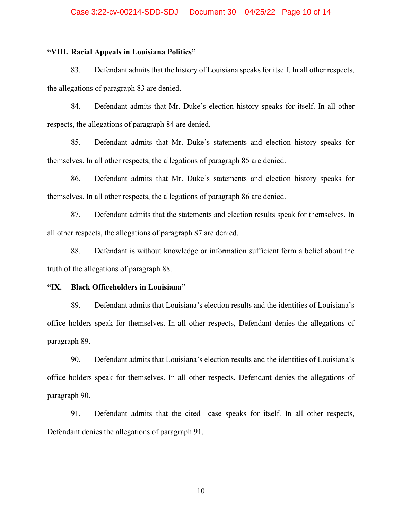## **"VIII. Racial Appeals in Louisiana Politics"**

83. Defendant admits that the history of Louisiana speaks for itself. In all other respects, the allegations of paragraph 83 are denied.

84. Defendant admits that Mr. Duke's election history speaks for itself. In all other respects, the allegations of paragraph 84 are denied.

85. Defendant admits that Mr. Duke's statements and election history speaks for themselves. In all other respects, the allegations of paragraph 85 are denied.

86. Defendant admits that Mr. Duke's statements and election history speaks for themselves. In all other respects, the allegations of paragraph 86 are denied.

87. Defendant admits that the statements and election results speak for themselves. In all other respects, the allegations of paragraph 87 are denied.

88. Defendant is without knowledge or information sufficient form a belief about the truth of the allegations of paragraph 88.

#### **"IX. Black Officeholders in Louisiana"**

89. Defendant admits that Louisiana's election results and the identities of Louisiana's office holders speak for themselves. In all other respects, Defendant denies the allegations of paragraph 89.

90. Defendant admits that Louisiana's election results and the identities of Louisiana's office holders speak for themselves. In all other respects, Defendant denies the allegations of paragraph 90.

91. Defendant admits that the cited case speaks for itself. In all other respects, Defendant denies the allegations of paragraph 91.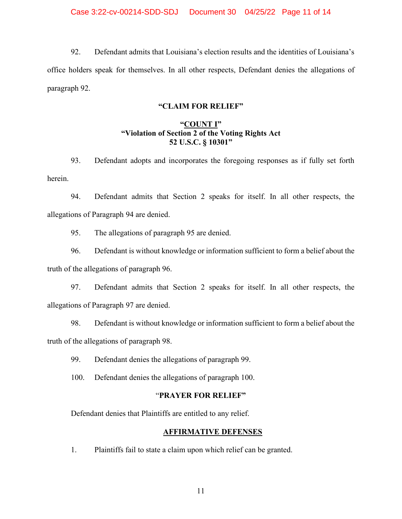92. Defendant admits that Louisiana's election results and the identities of Louisiana's office holders speak for themselves. In all other respects, Defendant denies the allegations of paragraph 92.

## **"CLAIM FOR RELIEF"**

# **"COUNT I" "Violation of Section 2 of the Voting Rights Act 52 U.S.C. § 10301"**

93. Defendant adopts and incorporates the foregoing responses as if fully set forth herein.

94. Defendant admits that Section 2 speaks for itself. In all other respects, the allegations of Paragraph 94 are denied.

95. The allegations of paragraph 95 are denied.

96. Defendant is without knowledge or information sufficient to form a belief about the truth of the allegations of paragraph 96.

97. Defendant admits that Section 2 speaks for itself. In all other respects, the allegations of Paragraph 97 are denied.

98. Defendant is without knowledge or information sufficient to form a belief about the truth of the allegations of paragraph 98.

99. Defendant denies the allegations of paragraph 99.

100. Defendant denies the allegations of paragraph 100.

## "**PRAYER FOR RELIEF"**

Defendant denies that Plaintiffs are entitled to any relief.

## **AFFIRMATIVE DEFENSES**

1. Plaintiffs fail to state a claim upon which relief can be granted.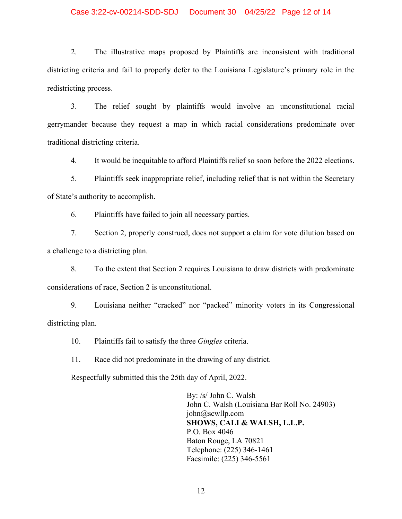## Case 3:22-cv-00214-SDD-SDJ Document 30 04/25/22 Page 12 of 14

2. The illustrative maps proposed by Plaintiffs are inconsistent with traditional districting criteria and fail to properly defer to the Louisiana Legislature's primary role in the redistricting process.

3. The relief sought by plaintiffs would involve an unconstitutional racial gerrymander because they request a map in which racial considerations predominate over traditional districting criteria.

4. It would be inequitable to afford Plaintiffs relief so soon before the 2022 elections.

5. Plaintiffs seek inappropriate relief, including relief that is not within the Secretary of State's authority to accomplish.

6. Plaintiffs have failed to join all necessary parties.

7. Section 2, properly construed, does not support a claim for vote dilution based on a challenge to a districting plan.

8. To the extent that Section 2 requires Louisiana to draw districts with predominate considerations of race, Section 2 is unconstitutional.

9. Louisiana neither "cracked" nor "packed" minority voters in its Congressional districting plan.

10. Plaintiffs fail to satisfy the three *Gingles* criteria.

11. Race did not predominate in the drawing of any district.

Respectfully submitted this the 25th day of April, 2022.

By: /s/ John C. Walsh John C. Walsh (Louisiana Bar Roll No. 24903) john@scwllp.com **SHOWS, CALI & WALSH, L.L.P.**  P.O. Box 4046 Baton Rouge, LA 70821 Telephone: (225) 346-1461 Facsimile: (225) 346-5561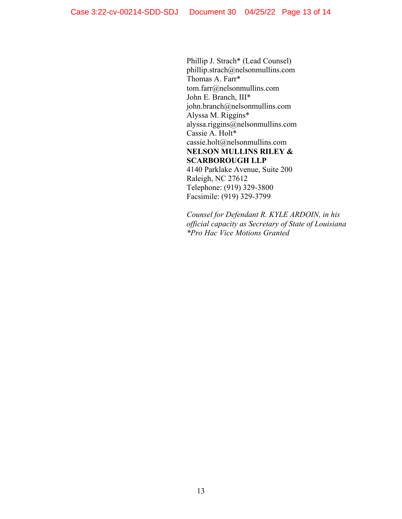Phillip J. Strach\* (Lead Counsel) phillip.strach@nelsonmullins.com Thomas A. Farr\* tom.farr@nelsonmullins.com John E. Branch, III\* john.branch@nelsonmullins.com Alyssa M. Riggins\* alyssa.riggins@nelsonmullins.com Cassie A. Holt\* cassie.holt@nelsonmullins.com **NELSON MULLINS RILEY & SCARBOROUGH LLP**  4140 Parklake Avenue, Suite 200 Raleigh, NC 27612 Telephone: (919) 329-3800 Facsimile: (919) 329-3799

*Counsel for Defendant R. KYLE ARDOIN, in his official capacity as Secretary of State of Louisiana \*Pro Hac Vice Motions Granted*